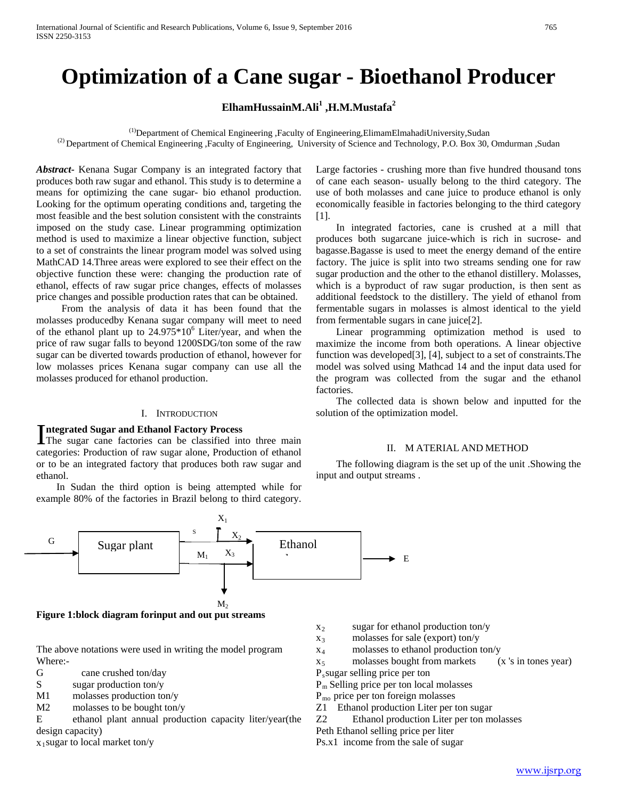# **Optimization of a Cane sugar - Bioethanol Producer**

# **ElhamHussainM.Ali<sup>1</sup> ,H.M.Mustafa<sup>2</sup>**

 $<sup>(1)</sup>$ Department of Chemical Engineering ,Faculty of Engineering,ElimamElmahadiUniversity,Sudan</sup> <sup>(2)</sup> Department of Chemical Engineering ,Faculty of Engineering, University of Science and Technology, P.O. Box 30, Omdurman ,Sudan

*Abstract***-** Kenana Sugar Company is an integrated factory that produces both raw sugar and ethanol. This study is to determine a means for optimizing the cane sugar- bio ethanol production. Looking for the optimum operating conditions and, targeting the most feasible and the best solution consistent with the constraints imposed on the study case. Linear programming optimization method is used to maximize a linear objective function, subject to a set of constraints the linear program model was solved using MathCAD 14.Three areas were explored to see their effect on the objective function these were: changing the production rate of ethanol, effects of raw sugar price changes, effects of molasses price changes and possible production rates that can be obtained.

 From the analysis of data it has been found that the molasses producedby Kenana sugar company will meet to need of the ethanol plant up to  $24.975*10^6$  Liter/year, and when the price of raw sugar falls to beyond 1200SDG/ton some of the raw sugar can be diverted towards production of ethanol, however for low molasses prices Kenana sugar company can use all the molasses produced for ethanol production.

#### I. INTRODUCTION

#### **ntegrated Sugar and Ethanol Factory Process**

Integrated Sugar and Ethanol Factory Process<br>The sugar cane factories can be classified into three main categories: Production of raw sugar alone, Production of ethanol or to be an integrated factory that produces both raw sugar and ethanol.

 In Sudan the third option is being attempted while for example 80% of the factories in Brazil belong to third category.



**Figure 1:block diagram forinput and out put streams**

The above notations were used in writing the model program Where:-

- G cane crushed ton/day
- S sugar production ton/y
- M1 molasses production ton/y
- M2 molasses to be bought ton/y

E ethanol plant annual production capacity liter/year(the design capacity)

 $x_1$ sugar to local market ton/y

 $x_2$  sugar for ethanol production ton/y

E

- $x_3$  molasses for sale (export) ton/y
- x4 molasses to ethanol production ton/y
- $x<sub>5</sub>$  molasses bought from markets (x 's in tones year)
- Pssugar selling price per ton
- Pm Selling price per ton local molasses
- Pmo price per ton foreign molasses
- Z1 Ethanol production Liter per ton sugar
- Z2 Ethanol production Liter per ton molasses
- Peth Ethanol selling price per liter

Ps.x1 income from the sale of sugar

Large factories - crushing more than five hundred thousand tons of cane each season- usually belong to the third category. The use of both molasses and cane juice to produce ethanol is only economically feasible in factories belonging to the third category [1].

 In integrated factories, cane is crushed at a mill that produces both sugarcane juice-which is rich in sucrose- and bagasse.Bagasse is used to meet the energy demand of the entire factory. The juice is split into two streams sending one for raw sugar production and the other to the ethanol distillery. Molasses, which is a byproduct of raw sugar production, is then sent as additional feedstock to the distillery. The yield of ethanol from fermentable sugars in molasses is almost identical to the yield from fermentable sugars in cane juice[2].

 Linear programming optimization method is used to maximize the income from both operations. A linear objective function was developed[3], [4], subject to a set of constraints.The model was solved using Mathcad 14 and the input data used for the program was collected from the sugar and the ethanol factories.

 The collected data is shown below and inputted for the solution of the optimization model.

#### II. M ATERIAL AND METHOD

 The following diagram is the set up of the unit .Showing the input and output streams .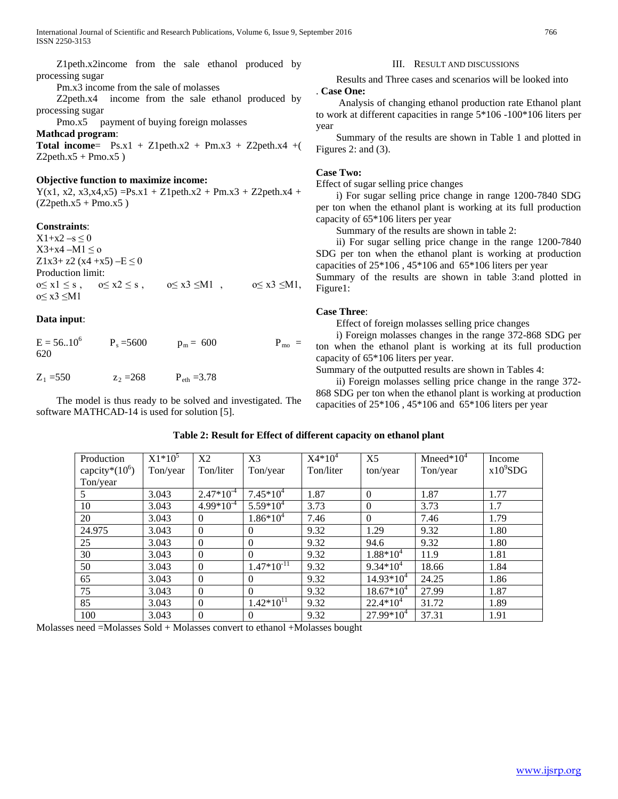Z1peth.x2income from the sale ethanol produced by processing sugar

Pm.x3 income from the sale of molasses

 Z2peth.x4 income from the sale ethanol produced by processing sugar

Pmo.x5 payment of buying foreign molasses

**Mathcad program**:

**Total income=**  $Ps.x1 + Z1peth.x2 + Pm.x3 + Z2peth.x4 +$  $Z2$ peth.x5 + Pmo.x5 )

## **Objective function to maximize income:**

 $Y(x1, x2, x3, x4, x5) =Ps.x1 + Z1$  peth. $x2 + Pm.x3 + Z2$  peth. $x4 +$  $(Z2peth.x5 + Pmo.x5)$ 

## **Constraints**:

 $X1+x2-s \le 0$  $X3+x4 - M1 \leq o$ Z1x3+ z2 (x4 +x5)  $-E \le 0$ Production limit:  $0 \le x1 \le s$ ,  $0 \le x2 \le s$ ,  $0 \le x3 \le M1$ ,  $0 \le x3 \le M1$ , o≤ x3 ≤M1

## **Data input**:

 $E = 56..10^{6}$  $P_s = 5600$   $p_m = 600$   $P_{m0} =$ 620

# $Z_1 = 550$   $Z_2 = 268$   $P_{\text{eth}} = 3.78$

 The model is thus ready to be solved and investigated. The software MATHCAD-14 is used for solution [5].

#### III. RESULT AND DISCUSSIONS

 Results and Three cases and scenarios will be looked into . **Case One:**

 Analysis of changing ethanol production rate Ethanol plant to work at different capacities in range 5\*106 -100\*106 liters per year

 Summary of the results are shown in Table 1 and plotted in Figures 2: and (3).

# **Case Two:**

Effect of sugar selling price changes

 i) For sugar selling price change in range 1200-7840 SDG per ton when the ethanol plant is working at its full production capacity of 65\*106 liters per year

Summary of the results are shown in table 2:

 ii) For sugar selling price change in the range 1200-7840 SDG per ton when the ethanol plant is working at production capacities of 25\*106 , 45\*106 and 65\*106 liters per year

Summary of the results are shown in table 3:and plotted in Figure1:

## **Case Three**:

Effect of foreign molasses selling price changes

 i) Foreign molasses changes in the range 372-868 SDG per ton when the ethanol plant is working at its full production capacity of 65\*106 liters per year.

Summary of the outputted results are shown in Tables 4:

 ii) Foreign molasses selling price change in the range 372- 868 SDG per ton when the ethanol plant is working at production capacities of 25\*106 , 45\*106 and 65\*106 liters per year

| Production        | $X1*10^5$ | X2             | X <sub>3</sub>   | $X4*10^4$ | X <sub>5</sub> | Mneed* $10^4$ | Income      |
|-------------------|-----------|----------------|------------------|-----------|----------------|---------------|-------------|
| capcity* $(10^6)$ | Ton/year  | Ton/liter      | Ton/year         | Ton/liter | ton/year       | Ton/year      | $x10^9$ SDG |
| Ton/year          |           |                |                  |           |                |               |             |
| 5                 | 3.043     | $2.47*10^{-4}$ | $7.45*10^{4}$    | 1.87      | $\Omega$       | 1.87          | 1.77        |
| 10                | 3.043     | $4.99*10^{-4}$ | $5.59*10^{4}$    | 3.73      | $\Omega$       | 3.73          | 1.7         |
| 20                | 3.043     | $\theta$       | $1.86*10^{4}$    | 7.46      | $\Omega$       | 7.46          | 1.79        |
| 24.975            | 3.043     | $\overline{0}$ | $\theta$         | 9.32      | 1.29           | 9.32          | 1.80        |
| 25                | 3.043     | $\theta$       | $\theta$         | 9.32      | 94.6           | 9.32          | 1.80        |
| 30                | 3.043     | $\theta$       | $\boldsymbol{0}$ | 9.32      | $1.88*10^{4}$  | 11.9          | 1.81        |
| 50                | 3.043     | $\overline{0}$ | $1.47*10^{-11}$  | 9.32      | $9.34*10^{4}$  | 18.66         | 1.84        |
| 65                | 3.043     | $\Omega$       | $\theta$         | 9.32      | $14.93*10^{4}$ | 24.25         | 1.86        |
| 75                | 3.043     | $\overline{0}$ | $\theta$         | 9.32      | $18.67*10^{4}$ | 27.99         | 1.87        |
| 85                | 3.043     | $\overline{0}$ | $1.42*10^{11}$   | 9.32      | $22.4*10^4$    | 31.72         | 1.89        |
| 100               | 3.043     | $\overline{0}$ | $\theta$         | 9.32      | $27.99*10^{4}$ | 37.31         | 1.91        |

### **Table 2: Result for Effect of different capacity on ethanol plant**

Molasses need =Molasses Sold + Molasses convert to ethanol +Molasses bought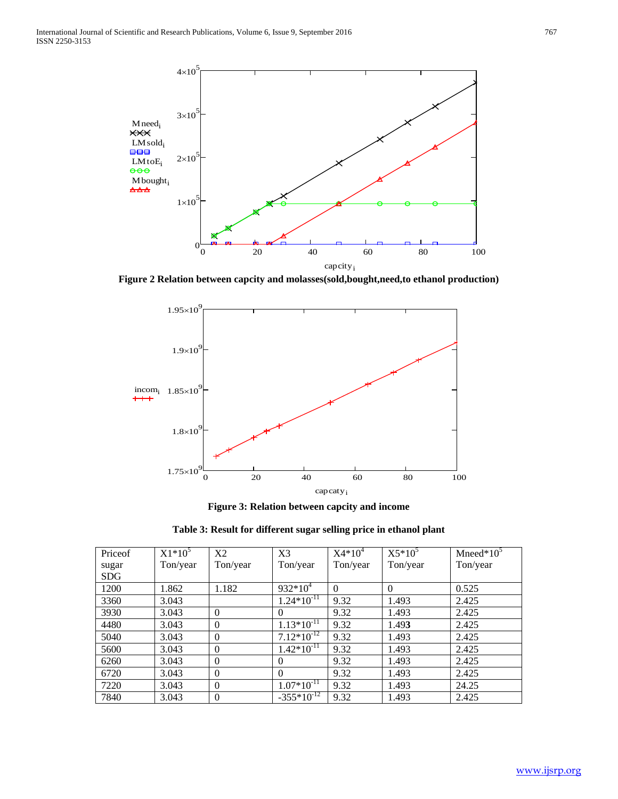

**Figure 2 Relation between capcity and molasses(sold,bought,need,to ethanol production)**



**Figure 3: Relation between capcity and income**

| Table 3: Result for different sugar selling price in ethanol plant |  |  |  |  |
|--------------------------------------------------------------------|--|--|--|--|
|--------------------------------------------------------------------|--|--|--|--|

| Priceof    | $X1*10^5$ | X2       | X <sub>3</sub>  | $X4*10^4$ | $X5*10^5$ | Mneed $*10^5$ |
|------------|-----------|----------|-----------------|-----------|-----------|---------------|
| sugar      | Ton/year  | Ton/year | Ton/year        | Ton/year  | Ton/year  | Ton/year      |
| <b>SDG</b> |           |          |                 |           |           |               |
| 1200       | 1.862     | 1.182    | $932*10^4$      | $\Omega$  | $\Omega$  | 0.525         |
| 3360       | 3.043     |          | $1.24*10^{-11}$ | 9.32      | 1.493     | 2.425         |
| 3930       | 3.043     | $\Omega$ | $\Omega$        | 9.32      | 1.493     | 2.425         |
| 4480       | 3.043     | $\Omega$ | $1.13*10^{-11}$ | 9.32      | 1.493     | 2.425         |
| 5040       | 3.043     | $\Omega$ | $7.12*10^{-12}$ | 9.32      | 1.493     | 2.425         |
| 5600       | 3.043     | $\Omega$ | $1.42*10^{-11}$ | 9.32      | 1.493     | 2.425         |
| 6260       | 3.043     | $\Omega$ | $\theta$        | 9.32      | 1.493     | 2.425         |
| 6720       | 3.043     | $\Omega$ | $\Omega$        | 9.32      | 1.493     | 2.425         |
| 7220       | 3.043     | $\Omega$ | $1.07*10^{-11}$ | 9.32      | 1.493     | 24.25         |
| 7840       | 3.043     | $\Omega$ | $-355*10^{-12}$ | 9.32      | 1.493     | 2.425         |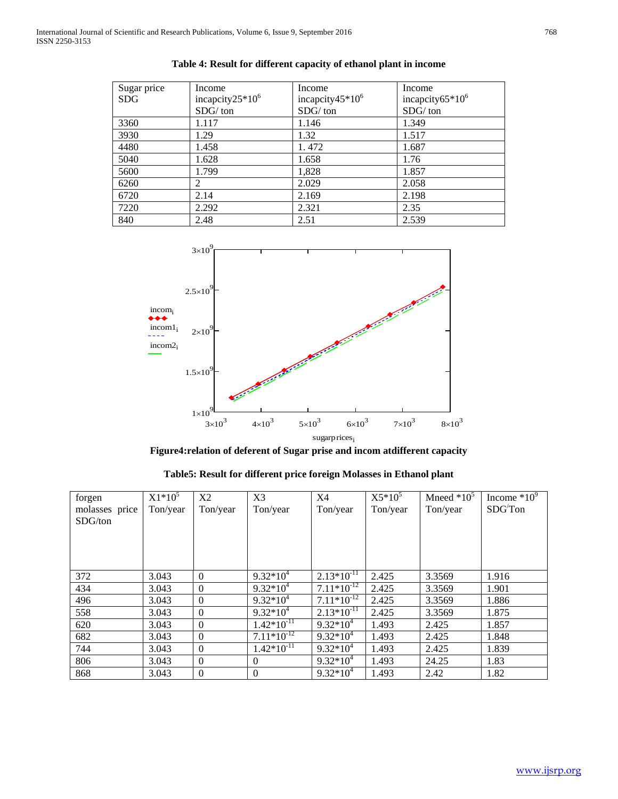| Sugar price | Income              | Income                      | Income              |
|-------------|---------------------|-----------------------------|---------------------|
| <b>SDG</b>  | incapcity $25*10^6$ | incapcity45*10 <sup>6</sup> | incapcity $65*10^6$ |
|             | $SDG/$ ton          | SDG/ton                     | $SDG/$ ton          |
| 3360        | 1.117               | 1.146                       | 1.349               |
| 3930        | 1.29                | 1.32                        | 1.517               |
| 4480        | 1.458               | 1.472                       | 1.687               |
| 5040        | 1.628               | 1.658                       | 1.76                |
| 5600        | 1.799               | 1,828                       | 1.857               |
| 6260        | 2                   | 2.029                       | 2.058               |
| 6720        | 2.14                | 2.169                       | 2.198               |
| 7220        | 2.292               | 2.321                       | 2.35                |
| 840         | 2.48                | 2.51                        | 2.539               |





**Figure4:relation of deferent of Sugar prise and incom atdifferent capacity**

| Table5: Result for different price foreign Molasses in Ethanol plant |  |  |  |
|----------------------------------------------------------------------|--|--|--|
|----------------------------------------------------------------------|--|--|--|

| forgen         | $X1*10^5$ | X2               | X3              | X4              | $X5*10^5$ | Mneed $*10^5$ | Income $*10^9$ |
|----------------|-----------|------------------|-----------------|-----------------|-----------|---------------|----------------|
| molasses price | Ton/year  | Ton/year         | Ton/year        | Ton/year        | Ton/year  | Ton/year      | SDGTon         |
| SDG/ton        |           |                  |                 |                 |           |               |                |
|                |           |                  |                 |                 |           |               |                |
|                |           |                  |                 |                 |           |               |                |
|                |           |                  |                 |                 |           |               |                |
|                |           |                  |                 |                 |           |               |                |
| 372            | 3.043     | $\overline{0}$   | $9.32*10^{4}$   | $2.13*10^{-11}$ | 2.425     | 3.3569        | 1.916          |
| 434            | 3.043     | $\boldsymbol{0}$ | $9.32*10^{4}$   | $7.11*10^{-12}$ | 2.425     | 3.3569        | 1.901          |
| 496            | 3.043     | $\theta$         | $9.32*10^{4}$   | $7.11*10^{-12}$ | 2.425     | 3.3569        | 1.886          |
| 558            | 3.043     | $\theta$         | $9.32*10^{4}$   | $2.13*10^{11}$  | 2.425     | 3.3569        | 1.875          |
| 620            | 3.043     | $\theta$         | $1.42*10-11$    | $9.32*10^{4}$   | 1.493     | 2.425         | 1.857          |
| 682            | 3.043     | $\theta$         | $7.11*10^{-12}$ | $9.32*10^{4}$   | 1.493     | 2.425         | 1.848          |
| 744            | 3.043     | $\theta$         | $1.42*10-11$    | $9.32*10^{4}$   | 1.493     | 2.425         | 1.839          |
| 806            | 3.043     | $\mathbf{0}$     | $\mathbf{0}$    | $9.32*10^{4}$   | 1.493     | 24.25         | 1.83           |
| 868            | 3.043     | $\mathbf{0}$     | $\Omega$        | $9.32*10^{4}$   | 1.493     | 2.42          | 1.82           |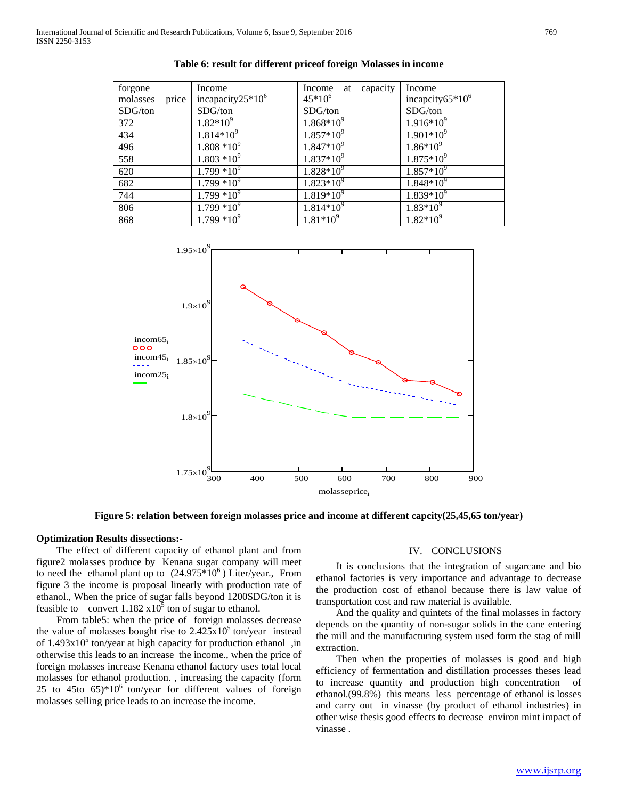| forgone           | Income               | capacity<br>Income<br>at | Income              |
|-------------------|----------------------|--------------------------|---------------------|
| price<br>molasses | incapacity $25*10^6$ | $45*10^{6}$              | incapcity $65*10^6$ |
| SDG/ton           | SDG/ton              | SDG/ton                  | SDG/ton             |
| 372               | $1.82*10^{9}$        | $1.868*10^{9}$           | $1.916*10^{9}$      |
| 434               | $1.814*10^{9}$       | $1.857*10^{9}$           | $1.901*10^{9}$      |
| 496               | $1.808*10^{9}$       | $1.847*10^{9}$           | $1.86*10^{9}$       |
| 558               | $1.803 *10^{9}$      | $1.837*10^9$             | $1.875*10^{9}$      |
| 620               | $1.799 * 10^9$       | $1.828*10^{9}$           | $1.857*10^{9}$      |
| 682               | $1.799 *10^{9}$      | $1.823*10^9$             | $1.848*10^{9}$      |
| 744               | $1.799*10^{9}$       | $1.819*10^{9}$           | $1.839*10^9$        |
| 806               | $1.799*10^{9}$       | $1.814*10^{9}$           | $1.83*10^{9}$       |
| 868               | $1.799*10^{9}$       | $1.81*10^{9}$            | $1.82*10^9$         |





**Figure 5: relation between foreign molasses price and income at different capcity(25,45,65 ton/year)**

## **Optimization Results dissections:-**

 The effect of different capacity of ethanol plant and from figure2 molasses produce by Kenana sugar company will meet to need the ethanol plant up to  $(24.975*10^6)$  Liter/year., From figure 3 the income is proposal linearly with production rate of ethanol., When the price of sugar falls beyond 1200SDG/ton it is feasible to convert  $1.182 \times 10^5$  ton of sugar to ethanol.

 From table5: when the price of foreign molasses decrease the value of molasses bought rise to  $2.425 \times 10^5$  ton/year instead of  $1.493x10<sup>5</sup>$  ton/year at high capacity for production ethanol ,in otherwise this leads to an increase the income., when the price of foreign molasses increase Kenana ethanol factory uses total local molasses for ethanol production. , increasing the capacity (form 25 to 45to  $65$ <sup>\*</sup>10<sup>6</sup> ton/year for different values of foreign molasses selling price leads to an increase the income.

#### IV. CONCLUSIONS

 It is conclusions that the integration of sugarcane and bio ethanol factories is very importance and advantage to decrease the production cost of ethanol because there is law value of transportation cost and raw material is available.

 And the quality and quintets of the final molasses in factory depends on the quantity of non-sugar solids in the cane entering the mill and the manufacturing system used form the stag of mill extraction.

 Then when the properties of molasses is good and high efficiency of fermentation and distillation processes theses lead to increase quantity and production high concentration of ethanol.(99.8%) this means less percentage of ethanol is losses and carry out in vinasse (by product of ethanol industries) in other wise thesis good effects to decrease environ mint impact of vinasse .